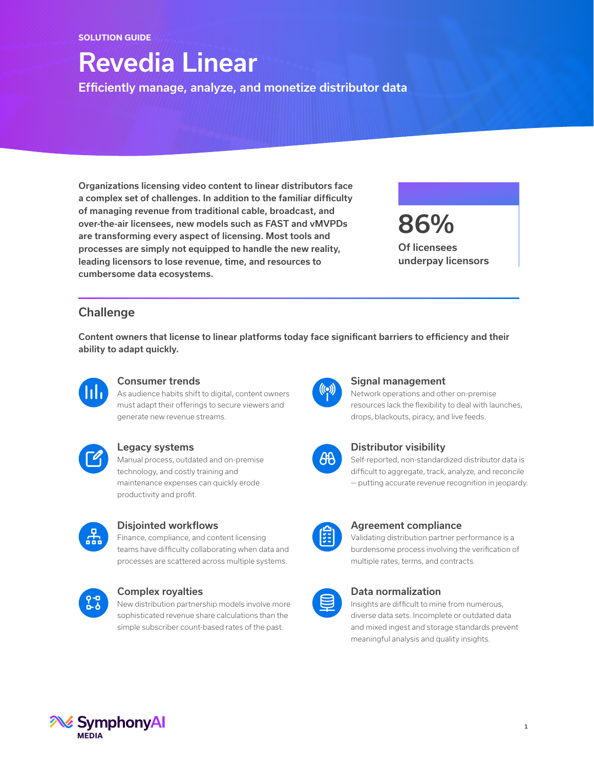## Revedia Linear

Efficiently manage, analyze, and monetize distributor data

Organizations licensing video content to linear distributors face a complex set of challenges. In addition to the familiar difficulty of managing revenue from traditional cable, broadcast, and over-the-air licensees, new models such as FAST and vMVPDs are transforming every aspect of licensing. Most tools and processes are simply not equipped to handle the new reality, leading licensors to lose revenue, time, and resources to cumbersome data ecosystems.

86% Of licensees underpay licensors

## **Challenge**

Content owners that license to linear platforms today face significant barriers to efficiency and their ability to adapt quickly.



#### Consumer trends

As audience habits shift to digital, content owners must adapt their offerings to secure viewers and generate new revenue streams.



#### Legacy systems

Manual process, outdated and on-premise technology, and costly training and maintenance expenses can quickly erode productivity and profit.



#### Disjointed workflows

Finance, compliance, and content licensing teams have difficulty collaborating when data and processes are scattered across multiple systems.



#### Complex royalties

New distribution partnership models involve more sophisticated revenue share calculations than the simple subscriber count-based rates of the past.



#### Signal management

Network operations and other on-premise resources lack the flexibility to deal with launches, drops, blackouts, piracy, and live feeds.



#### Distributor visibility

Self-reported, non-standardized distributor data is difficult to aggregate, track, analyze, and reconcile — putting accurate revenue recognition in jeopardy.



#### Agreement compliance

Validating distribution partner performance is a burdensome process involving the verification of multiple rates, terms, and contracts.



#### Data normalization

Insights are difficult to mine from numerous, diverse data sets. Incomplete or outdated data and mixed ingest and storage standards prevent meaningful analysis and quality insights.

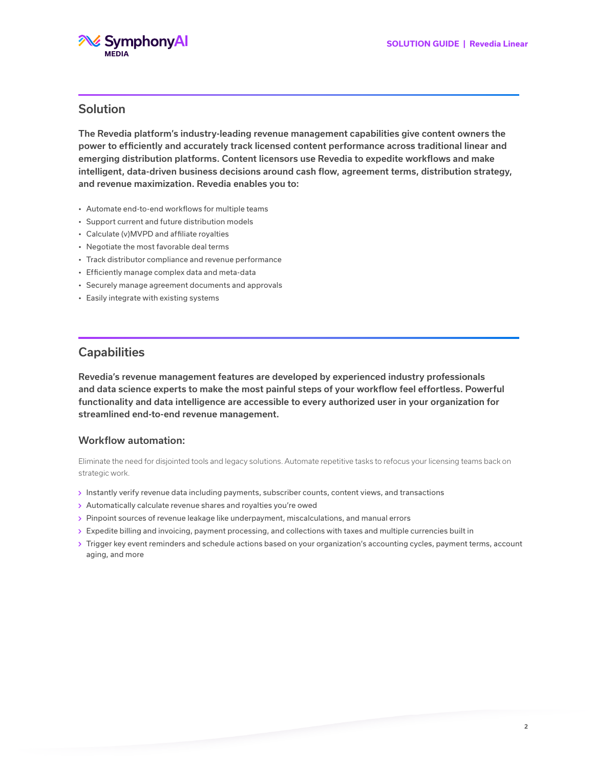

### Solution

The Revedia platform's industry-leading revenue management capabilities give content owners the power to efficiently and accurately track licensed content performance across traditional linear and emerging distribution platforms. Content licensors use Revedia to expedite workflows and make intelligent, data-driven business decisions around cash flow, agreement terms, distribution strategy, and revenue maximization. Revedia enables you to:

- Automate end-to-end workflows for multiple teams
- Support current and future distribution models
- Calculate (v)MVPD and affiliate royalties
- Negotiate the most favorable deal terms
- Track distributor compliance and revenue performance
- Efficiently manage complex data and meta-data
- Securely manage agreement documents and approvals
- Easily integrate with existing systems

### **Capabilities**

Revedia's revenue management features are developed by experienced industry professionals and data science experts to make the most painful steps of your workflow feel effortless. Powerful functionality and data intelligence are accessible to every authorized user in your organization for streamlined end-to-end revenue management.

#### Workflow automation:

Eliminate the need for disjointed tools and legacy solutions. Automate repetitive tasks to refocus your licensing teams back on strategic work.

- Instantly verify revenue data including payments, subscriber counts, content views, and transactions
- Automatically calculate revenue shares and royalties you're owed
- Pinpoint sources of revenue leakage like underpayment, miscalculations, and manual errors
- Expedite billing and invoicing, payment processing, and collections with taxes and multiple currencies built in
- Trigger key event reminders and schedule actions based on your organization's accounting cycles, payment terms, account aging, and more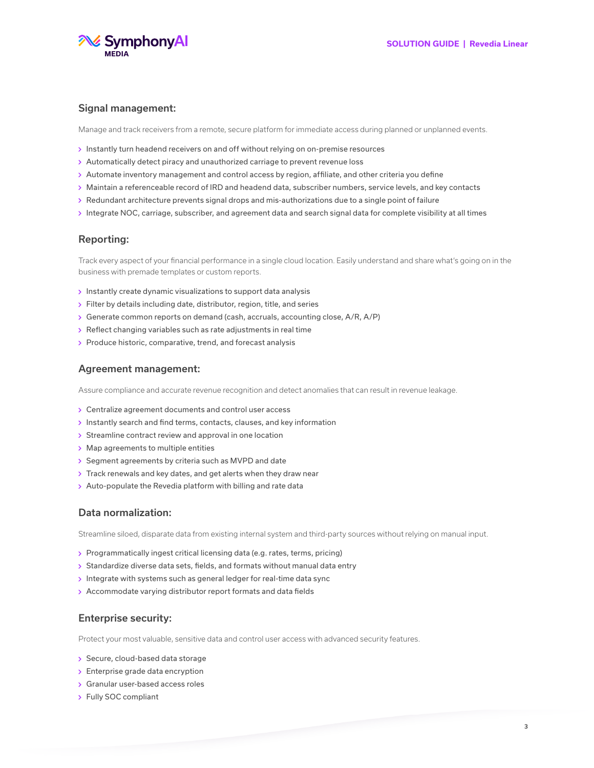

#### Signal management:

Manage and track receivers from a remote, secure platform for immediate access during planned or unplanned events.

- $\rightarrow$  Instantly turn headend receivers on and off without relying on on-premise resources
- Automatically detect piracy and unauthorized carriage to prevent revenue loss
- Automate inventory management and control access by region, affiliate, and other criteria you define
- Maintain a referenceable record of IRD and headend data, subscriber numbers, service levels, and key contacts
- Redundant architecture prevents signal drops and mis-authorizations due to a single point of failure
- Integrate NOC, carriage, subscriber, and agreement data and search signal data for complete visibility at all times

#### Reporting:

Track every aspect of your financial performance in a single cloud location. Easily understand and share what's going on in the business with premade templates or custom reports.

- $\rightarrow$  Instantly create dynamic visualizations to support data analysis
- Filter by details including date, distributor, region, title, and series
- Generate common reports on demand (cash, accruals, accounting close, A/R, A/P)
- Reflect changing variables such as rate adjustments in real time
- $\rightarrow$  Produce historic, comparative, trend, and forecast analysis

#### Agreement management:

Assure compliance and accurate revenue recognition and detect anomalies that can result in revenue leakage.

- Centralize agreement documents and control user access
- $\rightarrow$  Instantly search and find terms, contacts, clauses, and key information
- $\rightarrow$  Streamline contract review and approval in one location
- Map agreements to multiple entities
- Segment agreements by criteria such as MVPD and date
- Track renewals and key dates, and get alerts when they draw near
- Auto-populate the Revedia platform with billing and rate data

#### Data normalization:

Streamline siloed, disparate data from existing internal system and third-party sources without relying on manual input.

- Programmatically ingest critical licensing data (e.g. rates, terms, pricing)
- Standardize diverse data sets, fields, and formats without manual data entry
- Integrate with systems such as general ledger for real-time data sync
- Accommodate varying distributor report formats and data fields

#### Enterprise security:

Protect your most valuable, sensitive data and control user access with advanced security features.

- Secure, cloud-based data storage
- $\triangleright$  Enterprise grade data encryption
- Granular user-based access roles
- Fully SOC compliant